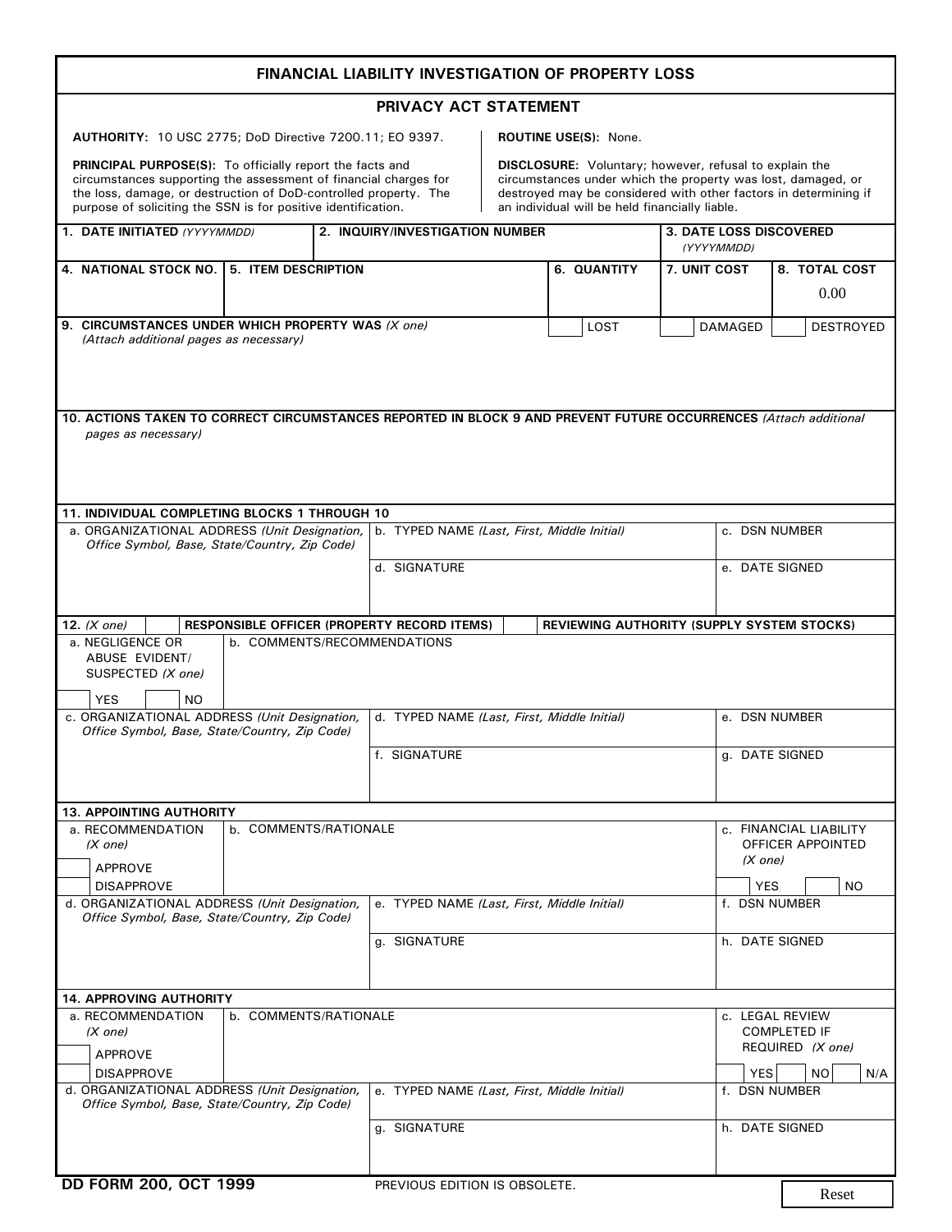|                                                                                                                                                                                                                                                                          | <b>FINANCIAL LIABILITY INVESTIGATION OF PROPERTY LOSS</b>                                                                                 |                                                |                                                                                                                                                                                                   |                                                                                |
|--------------------------------------------------------------------------------------------------------------------------------------------------------------------------------------------------------------------------------------------------------------------------|-------------------------------------------------------------------------------------------------------------------------------------------|------------------------------------------------|---------------------------------------------------------------------------------------------------------------------------------------------------------------------------------------------------|--------------------------------------------------------------------------------|
|                                                                                                                                                                                                                                                                          | PRIVACY ACT STATEMENT                                                                                                                     |                                                |                                                                                                                                                                                                   |                                                                                |
| AUTHORITY: 10 USC 2775; DoD Directive 7200.11; EO 9397.                                                                                                                                                                                                                  |                                                                                                                                           | <b>ROUTINE USE(S): None.</b>                   |                                                                                                                                                                                                   |                                                                                |
| <b>PRINCIPAL PURPOSE(S):</b> To officially report the facts and<br>circumstances supporting the assessment of financial charges for<br>the loss, damage, or destruction of DoD-controlled property. The<br>purpose of soliciting the SSN is for positive identification. |                                                                                                                                           | an individual will be held financially liable. | <b>DISCLOSURE:</b> Voluntary; however, refusal to explain the<br>circumstances under which the property was lost, damaged, or<br>destroyed may be considered with other factors in determining if |                                                                                |
| 1. DATE INITIATED (YYYYMMDD)                                                                                                                                                                                                                                             | 2. INQUIRY/INVESTIGATION NUMBER                                                                                                           |                                                | 3. DATE LOSS DISCOVERED<br>(YYYYMMDD)                                                                                                                                                             |                                                                                |
| 4. NATIONAL STOCK NO. 5. ITEM DESCRIPTION                                                                                                                                                                                                                                |                                                                                                                                           | 6. QUANTITY                                    | 7. UNIT COST                                                                                                                                                                                      | 8. TOTAL COST<br>0.00                                                          |
| 9. CIRCUMSTANCES UNDER WHICH PROPERTY WAS (X one)<br>(Attach additional pages as necessary)                                                                                                                                                                              |                                                                                                                                           | LOST                                           | DAMAGED                                                                                                                                                                                           | <b>DESTROYED</b>                                                               |
| 10. ACTIONS TAKEN TO CORRECT CIRCUMSTANCES REPORTED IN BLOCK 9 AND PREVENT FUTURE OCCURRENCES (Attach additional<br>pages as necessary)                                                                                                                                  |                                                                                                                                           |                                                |                                                                                                                                                                                                   |                                                                                |
| 11. INDIVIDUAL COMPLETING BLOCKS 1 THROUGH 10<br>a. ORGANIZATIONAL ADDRESS (Unit Designation,                                                                                                                                                                            | b. TYPED NAME (Last, First, Middle Initial)                                                                                               |                                                |                                                                                                                                                                                                   | c. DSN NUMBER                                                                  |
| Office Symbol, Base, State/Country, Zip Code)                                                                                                                                                                                                                            | d. SIGNATURE                                                                                                                              |                                                |                                                                                                                                                                                                   | e. DATE SIGNED                                                                 |
|                                                                                                                                                                                                                                                                          |                                                                                                                                           |                                                |                                                                                                                                                                                                   |                                                                                |
| 12. $(X one)$<br>a. NEGLIGENCE OR<br><b>ABUSE EVIDENT/</b><br>SUSPECTED (X one)<br><b>YES</b><br>NO.<br>c. ORGANIZATIONAL ADDRESS (Unit Designation,<br>Office Symbol, Base, State/Country, Zip Code)                                                                    | RESPONSIBLE OFFICER (PROPERTY RECORD ITEMS)<br>b. COMMENTS/RECOMMENDATIONS<br>d. TYPED NAME (Last, First, Middle Initial)<br>f. SIGNATURE |                                                | REVIEWING AUTHORITY (SUPPLY SYSTEM STOCKS)                                                                                                                                                        | e. DSN NUMBER<br>g. DATE SIGNED                                                |
|                                                                                                                                                                                                                                                                          |                                                                                                                                           |                                                |                                                                                                                                                                                                   |                                                                                |
| <b>13. APPOINTING AUTHORITY</b><br>a. RECOMMENDATION<br>b. COMMENTS/RATIONALE<br>(X one)<br>APPROVE<br><b>DISAPPROVE</b>                                                                                                                                                 |                                                                                                                                           |                                                | (X one)<br>YES                                                                                                                                                                                    | c. FINANCIAL LIABILITY<br>OFFICER APPOINTED<br>NO.                             |
| d. ORGANIZATIONAL ADDRESS (Unit Designation,<br>Office Symbol, Base, State/Country, Zip Code)                                                                                                                                                                            | e. TYPED NAME (Last, First, Middle Initial)<br>g. SIGNATURE                                                                               |                                                |                                                                                                                                                                                                   | f. DSN NUMBER<br>h. DATE SIGNED                                                |
| <b>14. APPROVING AUTHORITY</b>                                                                                                                                                                                                                                           |                                                                                                                                           |                                                |                                                                                                                                                                                                   |                                                                                |
| a. RECOMMENDATION<br>b. COMMENTS/RATIONALE<br>(X one)<br><b>APPROVE</b><br><b>DISAPPROVE</b>                                                                                                                                                                             |                                                                                                                                           |                                                | <b>YES</b>                                                                                                                                                                                        | c. LEGAL REVIEW<br><b>COMPLETED IF</b><br>REQUIRED (X one)<br><b>NO</b><br>N/A |
| d. ORGANIZATIONAL ADDRESS (Unit Designation,<br>Office Symbol, Base, State/Country, Zip Code)                                                                                                                                                                            | e. TYPED NAME (Last, First, Middle Initial)                                                                                               |                                                |                                                                                                                                                                                                   | f. DSN NUMBER                                                                  |
|                                                                                                                                                                                                                                                                          | g. SIGNATURE                                                                                                                              |                                                |                                                                                                                                                                                                   | h. DATE SIGNED                                                                 |
| DD FORM 200, OCT 1999                                                                                                                                                                                                                                                    | PREVIOUS EDITION IS OBSOLETE.                                                                                                             |                                                |                                                                                                                                                                                                   | Reset                                                                          |